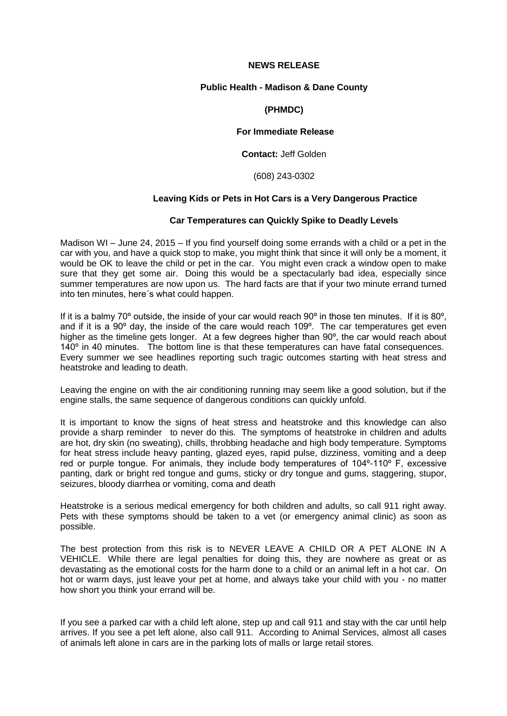#### **NEWS RELEASE**

# **Public Health - Madison & Dane County**

# **(PHMDC)**

# **For Immediate Release**

# **Contact:** Jeff Golden

#### (608) 243-0302

# **Leaving Kids or Pets in Hot Cars is a Very Dangerous Practice**

#### **Car Temperatures can Quickly Spike to Deadly Levels**

Madison WI – June 24, 2015 – If you find yourself doing some errands with a child or a pet in the car with you, and have a quick stop to make, you might think that since it will only be a moment, it would be OK to leave the child or pet in the car. You might even crack a window open to make sure that they get some air. Doing this would be a spectacularly bad idea, especially since summer temperatures are now upon us. The hard facts are that if your two minute errand turned into ten minutes, here´s what could happen.

If it is a balmy 70 $\degree$  outside, the inside of your car would reach 90 $\degree$  in those ten minutes. If it is 80 $\degree$ , and if it is a 90º day, the inside of the care would reach 109º. The car temperatures get even higher as the timeline gets longer. At a few degrees higher than 90<sup>°</sup>, the car would reach about 140° in 40 minutes. The bottom line is that these temperatures can have fatal consequences. Every summer we see headlines reporting such tragic outcomes starting with heat stress and heatstroke and leading to death.

Leaving the engine on with the air conditioning running may seem like a good solution, but if the engine stalls, the same sequence of dangerous conditions can quickly unfold.

It is important to know the signs of heat stress and heatstroke and this knowledge can also provide a sharp reminder to never do this. The symptoms of heatstroke in children and adults are hot, dry skin (no sweating), chills, throbbing headache and high body temperature. Symptoms for heat stress include heavy panting, glazed eyes, rapid pulse, dizziness, vomiting and a deep red or purple tongue. For animals, they include body temperatures of 104º-110º F, excessive panting, dark or bright red tongue and gums, sticky or dry tongue and gums, staggering, stupor, seizures, bloody diarrhea or vomiting, coma and death

Heatstroke is a serious medical emergency for both children and adults, so call 911 right away. Pets with these symptoms should be taken to a vet (or emergency animal clinic) as soon as possible.

The best protection from this risk is to NEVER LEAVE A CHILD OR A PET ALONE IN A VEHICLE. While there are legal penalties for doing this, they are nowhere as great or as devastating as the emotional costs for the harm done to a child or an animal left in a hot car. On hot or warm days, just leave your pet at home, and always take your child with you - no matter how short you think your errand will be.

If you see a parked car with a child left alone, step up and call 911 and stay with the car until help arrives. If you see a pet left alone, also call 911. According to Animal Services, almost all cases of animals left alone in cars are in the parking lots of malls or large retail stores.